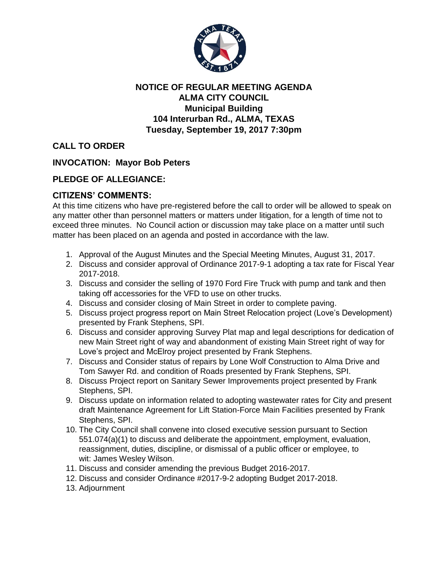

## **NOTICE OF REGULAR MEETING AGENDA ALMA CITY COUNCIL Municipal Building 104 Interurban Rd., ALMA, TEXAS Tuesday, September 19, 2017 7:30pm**

**CALL TO ORDER**

**INVOCATION: Mayor Bob Peters**

## **PLEDGE OF ALLEGIANCE:**

## **CITIZENS' COMMENTS:**

At this time citizens who have pre-registered before the call to order will be allowed to speak on any matter other than personnel matters or matters under litigation, for a length of time not to exceed three minutes. No Council action or discussion may take place on a matter until such matter has been placed on an agenda and posted in accordance with the law.

- 1. Approval of the August Minutes and the Special Meeting Minutes, August 31, 2017.
- 2. Discuss and consider approval of Ordinance 2017-9-1 adopting a tax rate for Fiscal Year 2017-2018.
- 3. Discuss and consider the selling of 1970 Ford Fire Truck with pump and tank and then taking off accessories for the VFD to use on other trucks.
- 4. Discuss and consider closing of Main Street in order to complete paving.
- 5. Discuss project progress report on Main Street Relocation project (Love's Development) presented by Frank Stephens, SPI.
- 6. Discuss and consider approving Survey Plat map and legal descriptions for dedication of new Main Street right of way and abandonment of existing Main Street right of way for Love's project and McElroy project presented by Frank Stephens.
- 7. Discuss and Consider status of repairs by Lone Wolf Construction to Alma Drive and Tom Sawyer Rd. and condition of Roads presented by Frank Stephens, SPI.
- 8. Discuss Project report on Sanitary Sewer Improvements project presented by Frank Stephens, SPI.
- 9. Discuss update on information related to adopting wastewater rates for City and present draft Maintenance Agreement for Lift Station-Force Main Facilities presented by Frank Stephens, SPI.
- 10. The City Council shall convene into closed executive session pursuant to Section 551.074(a)(1) to discuss and deliberate the appointment, employment, evaluation, reassignment, duties, discipline, or dismissal of a public officer or employee, to wit: James Wesley Wilson.
- 11. Discuss and consider amending the previous Budget 2016-2017.
- 12. Discuss and consider Ordinance #2017-9-2 adopting Budget 2017-2018.
- 13. Adjournment